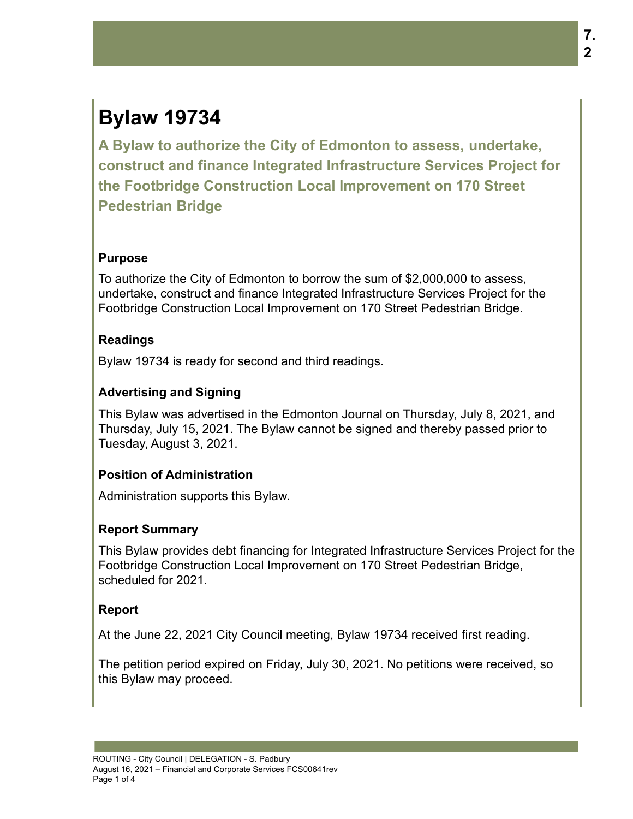# **Bylaw 19734**

**A Bylaw to authorize the City of Edmonton to assess, undertake, construct and finance Integrated Infrastructure Services Project for the Footbridge Construction Local Improvement on 170 Street Pedestrian Bridge**

### **Purpose**

To authorize the City of Edmonton to borrow the sum of \$2,000,000 to assess, undertake, construct and finance Integrated Infrastructure Services Project for the Footbridge Construction Local Improvement on 170 Street Pedestrian Bridge.

#### **Readings**

Bylaw 19734 is ready for second and third readings.

## **Advertising and Signing**

This Bylaw was advertised in the Edmonton Journal on Thursday, July 8, 2021, and Thursday, July 15, 2021. The Bylaw cannot be signed and thereby passed prior to Tuesday, August 3, 2021.

### **Position of Administration**

Administration supports this Bylaw.

### **Report Summary**

This Bylaw provides debt financing for Integrated Infrastructure Services Project for the Footbridge Construction Local Improvement on 170 Street Pedestrian Bridge, scheduled for 2021.

### **Report**

At the June 22, 2021 City Council meeting, Bylaw 19734 received first reading.

The petition period expired on Friday, July 30, 2021. No petitions were received, so this Bylaw may proceed.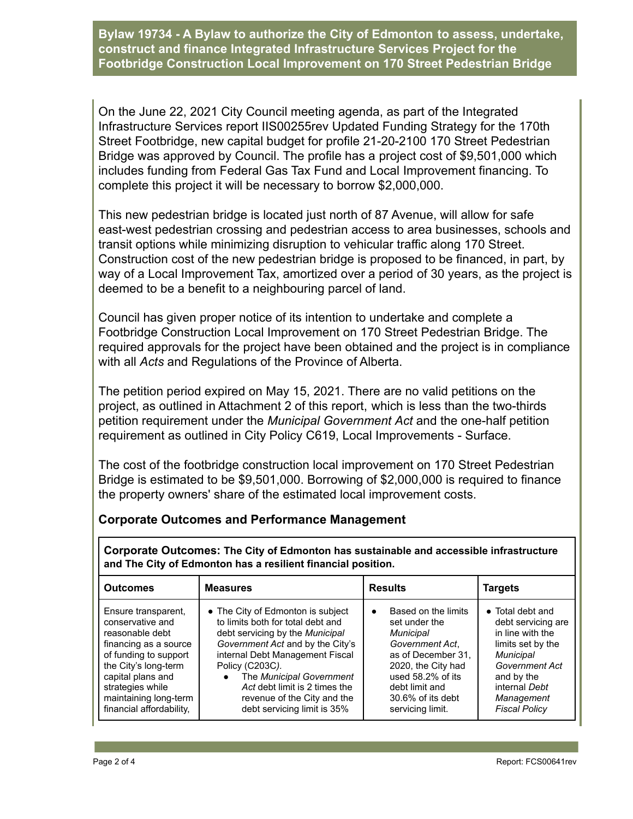**Bylaw 19734 - A Bylaw to authorize the City of Edmonton to assess, undertake, construct and finance Integrated Infrastructure Services Project for the Footbridge Construction Local Improvement on 170 Street Pedestrian Bridge**

On the June 22, 2021 City Council meeting agenda, as part of the Integrated Infrastructure Services report IIS00255rev Updated Funding Strategy for the 170th Street Footbridge, new capital budget for profile 21-20-2100 170 Street Pedestrian Bridge was approved by Council. The profile has a project cost of \$9,501,000 which includes funding from Federal Gas Tax Fund and Local Improvement financing. To complete this project it will be necessary to borrow \$2,000,000.

This new pedestrian bridge is located just north of 87 Avenue, will allow for safe east-west pedestrian crossing and pedestrian access to area businesses, schools and transit options while minimizing disruption to vehicular traffic along 170 Street. Construction cost of the new pedestrian bridge is proposed to be financed, in part, by way of a Local Improvement Tax, amortized over a period of 30 years, as the project is deemed to be a benefit to a neighbouring parcel of land.

Council has given proper notice of its intention to undertake and complete a Footbridge Construction Local Improvement on 170 Street Pedestrian Bridge. The required approvals for the project have been obtained and the project is in compliance with all *Acts* and Regulations of the Province of Alberta.

The petition period expired on May 15, 2021. There are no valid petitions on the project, as outlined in Attachment 2 of this report, which is less than the two-thirds petition requirement under the *Municipal Government Act* and the one-half petition requirement as outlined in City Policy C619, Local Improvements - Surface.

The cost of the footbridge construction local improvement on 170 Street Pedestrian Bridge is estimated to be \$9,501,000. Borrowing of \$2,000,000 is required to finance the property owners' share of the estimated local improvement costs.

### **Corporate Outcomes and Performance Management**

**Corporate Outcomes: The City of Edmonton has sustainable and accessible infrastructure and The City of Edmonton has a resilient financial position.**

| <b>Outcomes</b>                                                                                                                                                                                                                    | <b>Measures</b>                                                                                                                                                                                                                                                                                                                | <b>Results</b>                                                                                                                                                                                                       | Targets                                                                                                                                                                                    |
|------------------------------------------------------------------------------------------------------------------------------------------------------------------------------------------------------------------------------------|--------------------------------------------------------------------------------------------------------------------------------------------------------------------------------------------------------------------------------------------------------------------------------------------------------------------------------|----------------------------------------------------------------------------------------------------------------------------------------------------------------------------------------------------------------------|--------------------------------------------------------------------------------------------------------------------------------------------------------------------------------------------|
| Ensure transparent,<br>conservative and<br>reasonable debt<br>financing as a source<br>of funding to support<br>the City's long-term<br>capital plans and<br>strategies while<br>maintaining long-term<br>financial affordability, | • The City of Edmonton is subject<br>to limits both for total debt and<br>debt servicing by the Municipal<br>Government Act and by the City's<br>internal Debt Management Fiscal<br>Policy (C203C).<br>The Municipal Government<br>Act debt limit is 2 times the<br>revenue of the City and the<br>debt servicing limit is 35% | Based on the limits<br>$\bullet$<br>set under the<br><b>Municipal</b><br>Government Act.<br>as of December 31.<br>2020, the City had<br>used 58.2% of its<br>debt limit and<br>30.6% of its debt<br>servicing limit. | • Total debt and<br>debt servicing are<br>in line with the<br>limits set by the<br><b>Municipal</b><br>Government Act<br>and by the<br>internal Debt<br>Management<br><b>Fiscal Policy</b> |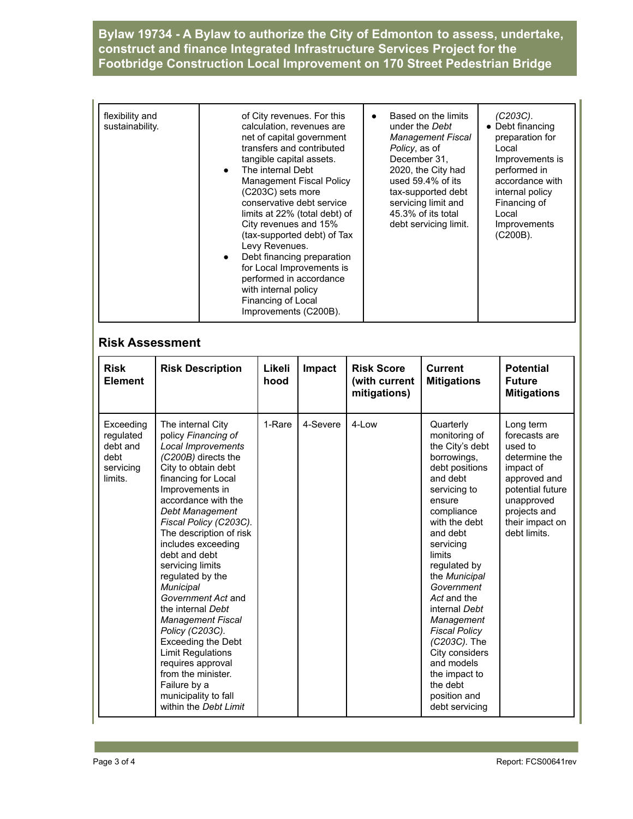**Bylaw 19734 - A Bylaw to authorize the City of Edmonton to assess, undertake, construct and finance Integrated Infrastructure Services Project for the Footbridge Construction Local Improvement on 170 Street Pedestrian Bridge**

| flexibility and                 | Based on the limits      |
|---------------------------------|--------------------------|
| of City revenues. For this      | (C203C).                 |
| sustainability.                 | • Debt financing         |
| calculation, revenues are       | under the Debt           |
| net of capital government       | preparation for          |
| transfers and contributed       | <b>Management Fiscal</b> |
| tangible capital assets.        | Policy, as of            |
| The internal Debt               | Local                    |
| $\bullet$                       | December 31.             |
| <b>Management Fiscal Policy</b> | Improvements is          |
| (C203C) sets more               | performed in             |
| conservative debt service       | 2020, the City had       |
| limits at 22% (total debt) of   | used $59.4\%$ of its     |
| City revenues and 15%           | accordance with          |
| (tax-supported debt) of Tax     | internal policy          |
| Levy Revenues.                  | tax-supported debt       |
| Debt financing preparation      | servicing limit and      |
| $\bullet$                       | Financing of             |
| for Local Improvements is       | 45.3% of its total       |
| performed in accordance         | Local                    |
| with internal policy            | debt servicing limit.    |
| Financing of Local              | Improvements             |
| Improvements (C200B).           | $(C200B)$ .              |

#### **Risk Assessment**

| <b>Risk</b><br><b>Element</b>                                      | <b>Risk Description</b>                                                                                                                                                                                                                                                                                                                                                                                                                                                                                                                                                                                          | Likeli<br>hood | Impact   | <b>Risk Score</b><br>(with current<br>mitigations) | <b>Current</b><br><b>Mitigations</b>                                                                                                                                                                                                                                                                                                                                                                                              | <b>Potential</b><br><b>Future</b><br><b>Mitigations</b>                                                                                                                  |
|--------------------------------------------------------------------|------------------------------------------------------------------------------------------------------------------------------------------------------------------------------------------------------------------------------------------------------------------------------------------------------------------------------------------------------------------------------------------------------------------------------------------------------------------------------------------------------------------------------------------------------------------------------------------------------------------|----------------|----------|----------------------------------------------------|-----------------------------------------------------------------------------------------------------------------------------------------------------------------------------------------------------------------------------------------------------------------------------------------------------------------------------------------------------------------------------------------------------------------------------------|--------------------------------------------------------------------------------------------------------------------------------------------------------------------------|
| Exceeding<br>requlated<br>debt and<br>debt<br>servicing<br>limits. | The internal City<br>policy Financing of<br>Local Improvements<br>(C200B) directs the<br>City to obtain debt<br>financing for Local<br>Improvements in<br>accordance with the<br>Debt Management<br>Fiscal Policy (C203C).<br>The description of risk<br>includes exceeding<br>debt and debt<br>servicing limits<br>regulated by the<br>Municipal<br>Government Act and<br>the internal Debt<br><b>Management Fiscal</b><br>Policy (C203C).<br><b>Exceeding the Debt</b><br><b>Limit Regulations</b><br>requires approval<br>from the minister.<br>Failure by a<br>municipality to fall<br>within the Debt Limit | 1-Rare         | 4-Severe | 4-Low                                              | Quarterly<br>monitoring of<br>the City's debt<br>borrowings,<br>debt positions<br>and debt<br>servicing to<br>ensure<br>compliance<br>with the debt<br>and debt<br>servicing<br><b>limits</b><br>regulated by<br>the Municipal<br>Government<br>Act and the<br>internal Debt<br>Management<br><b>Fiscal Policy</b><br>(C203C). The<br>City considers<br>and models<br>the impact to<br>the debt<br>position and<br>debt servicing | Long term<br>forecasts are<br>used to<br>determine the<br>impact of<br>approved and<br>potential future<br>unapproved<br>projects and<br>their impact on<br>debt limits. |